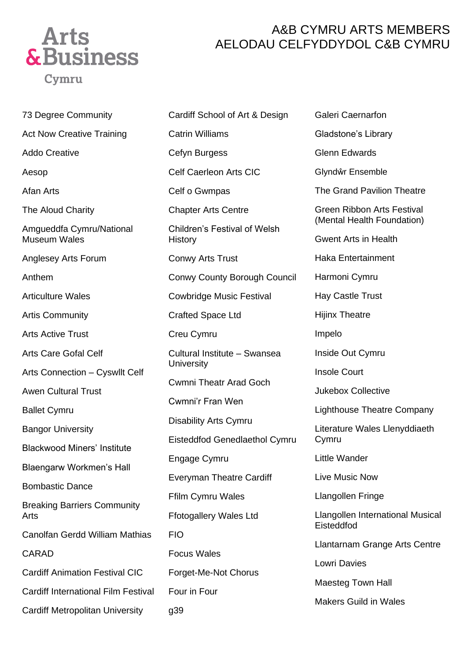

## A&B CYMRU ARTS MEMBERS AELODAU CELFYDDYDOL C&B CYMRU

73 Degree Community Act Now Creative Training Addo Creative Aesop Afan Arts The Aloud Charity Amgueddfa Cymru/National Museum Wales Anglesey Arts Forum Anthem Articulture Wales Artis Community Arts Active Trust Arts Care Gofal Celf Arts Connection – Cyswllt Celf Awen Cultural Trust Ballet Cymru Bangor University Blackwood Miners' Institute Blaengarw Workmen's Hall Bombastic Dance Breaking Barriers Community Arts Canolfan Gerdd William Mathias CARAD Cardiff Animation Festival CIC Cardiff International Film Festival Cardiff Metropolitan University

Cardiff School of Art & Design Catrin Williams Cefyn Burgess Celf Caerleon Arts CIC Celf o Gwmpas Chapter Arts Centre Children's Festival of Welsh **History** Conwy Arts Trust Conwy County Borough Council Cowbridge Music Festival Crafted Space Ltd Creu Cymru Cultural Institute – Swansea **University** Cwmni Theatr Arad Goch Cwmni'r Fran Wen Disability Arts Cymru Eisteddfod Genedlaethol Cymru Engage Cymru Everyman Theatre Cardiff Ffilm Cymru Wales Ffotogallery Wales Ltd FIO Focus Wales Forget-Me-Not Chorus Four in Four g39

Galeri Caernarfon Gladstone's Library Glenn Edwards Glyndŵr Ensemble The Grand Pavilion Theatre Green Ribbon Arts Festival (Mental Health Foundation) Gwent Arts in Health Haka Entertainment Harmoni Cymru Hay Castle Trust Hijinx Theatre Impelo Inside Out Cymru Insole Court Jukebox Collective Lighthouse Theatre Company Literature Wales Llenyddiaeth Cymru Little Wander Live Music Now Llangollen Fringe Llangollen International Musical Eisteddfod Llantarnam Grange Arts Centre Lowri Davies Maesteg Town Hall Makers Guild in Wales